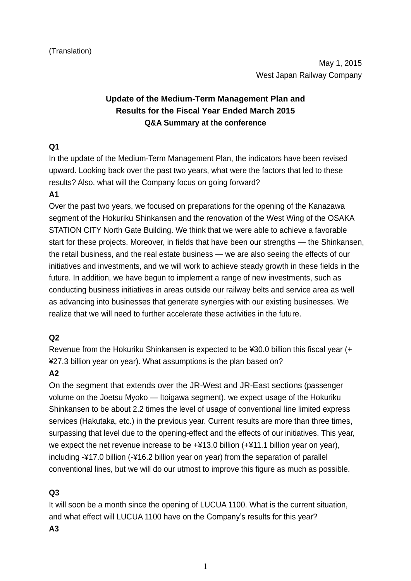# **Update of the Medium-Term Management Plan and Results for the Fiscal Year Ended March 2015 Q&A Summary at the conference**

### **Q1**

In the update of the Medium-Term Management Plan, the indicators have been revised upward. Looking back over the past two years, what were the factors that led to these results? Also, what will the Company focus on going forward?

### **A1**

Over the past two years, we focused on preparations for the opening of the Kanazawa segment of the Hokuriku Shinkansen and the renovation of the West Wing of the OSAKA STATION CITY North Gate Building. We think that we were able to achieve a favorable start for these projects. Moreover, in fields that have been our strengths — the Shinkansen, the retail business, and the real estate business — we are also seeing the effects of our initiatives and investments, and we will work to achieve steady growth in these fields in the future. In addition, we have begun to implement a range of new investments, such as conducting business initiatives in areas outside our railway belts and service area as well as advancing into businesses that generate synergies with our existing businesses. We realize that we will need to further accelerate these activities in the future.

### **Q2**

Revenue from the Hokuriku Shinkansen is expected to be ¥30.0 billion this fiscal year (+ ¥27.3 billion year on year). What assumptions is the plan based on?

## **A2**

On the segment that extends over the JR-West and JR-East sections (passenger volume on the Joetsu Myoko — Itoigawa segment), we expect usage of the Hokuriku Shinkansen to be about 2.2 times the level of usage of conventional line limited express services (Hakutaka, etc.) in the previous year. Current results are more than three times, surpassing that level due to the opening-effect and the effects of our initiatives. This year, we expect the net revenue increase to be  $+413.0$  billion  $(+411.1$  billion year on year), including -¥17.0 billion (-¥16.2 billion year on year) from the separation of parallel conventional lines, but we will do our utmost to improve this figure as much as possible.

### **Q3**

It will soon be a month since the opening of LUCUA 1100. What is the current situation, and what effect will LUCUA 1100 have on the Company's results for this year?

**A3**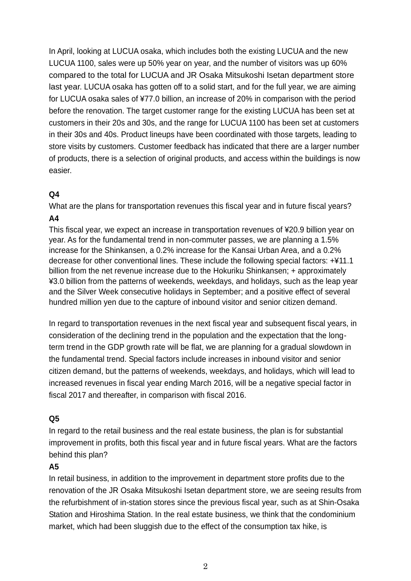In April, looking at LUCUA osaka, which includes both the existing LUCUA and the new LUCUA 1100, sales were up 50% year on year, and the number of visitors was up 60% compared to the total for LUCUA and JR Osaka Mitsukoshi Isetan department store last year. LUCUA osaka has gotten off to a solid start, and for the full year, we are aiming for LUCUA osaka sales of ¥77.0 billion, an increase of 20% in comparison with the period before the renovation. The target customer range for the existing LUCUA has been set at customers in their 20s and 30s, and the range for LUCUA 1100 has been set at customers in their 30s and 40s. Product lineups have been coordinated with those targets, leading to store visits by customers. Customer feedback has indicated that there are a larger number of products, there is a selection of original products, and access within the buildings is now easier.

#### **Q4**

What are the plans for transportation revenues this fiscal year and in future fiscal years? **A4**

This fiscal year, we expect an increase in transportation revenues of ¥20.9 billion year on year. As for the fundamental trend in non-commuter passes, we are planning a 1.5% increase for the Shinkansen, a 0.2% increase for the Kansai Urban Area, and a 0.2% decrease for other conventional lines. These include the following special factors: +¥11.1 billion from the net revenue increase due to the Hokuriku Shinkansen; + approximately ¥3.0 billion from the patterns of weekends, weekdays, and holidays, such as the leap year and the Silver Week consecutive holidays in September; and a positive effect of several hundred million yen due to the capture of inbound visitor and senior citizen demand.

In regard to transportation revenues in the next fiscal year and subsequent fiscal years, in consideration of the declining trend in the population and the expectation that the longterm trend in the GDP growth rate will be flat, we are planning for a gradual slowdown in the fundamental trend. Special factors include increases in inbound visitor and senior citizen demand, but the patterns of weekends, weekdays, and holidays, which will lead to increased revenues in fiscal year ending March 2016, will be a negative special factor in fiscal 2017 and thereafter, in comparison with fiscal 2016.

### **Q5**

In regard to the retail business and the real estate business, the plan is for substantial improvement in profits, both this fiscal year and in future fiscal years. What are the factors behind this plan?

#### **A5**

In retail business, in addition to the improvement in department store profits due to the renovation of the JR Osaka Mitsukoshi Isetan department store, we are seeing results from the refurbishment of in-station stores since the previous fiscal year, such as at Shin-Osaka Station and Hiroshima Station. In the real estate business, we think that the condominium market, which had been sluggish due to the effect of the consumption tax hike, is